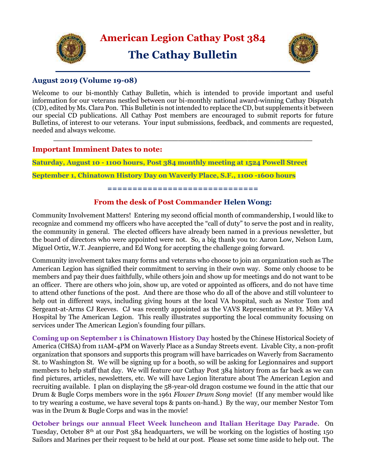



## **August 2019 (Volume 19-08)**

Welcome to our bi-monthly Cathay Bulletin, which is intended to provide important and useful information for our veterans nestled between our bi-monthly national award-winning Cathay Dispatch (CD), edited by Ms. Clara Pon. This Bulletin is not intended to replace the CD, but supplements it between our special CD publications. All Cathay Post members are encouraged to submit reports for future Bulletins, of interest to our veterans. Your input submissions, feedback, and comments are requested, needed and always welcome.

**\_\_\_\_\_\_\_\_\_\_\_\_\_\_\_\_\_\_\_\_\_\_\_\_\_\_\_\_\_\_\_\_\_\_\_\_\_\_\_\_\_\_\_\_\_\_\_\_\_\_\_\_\_\_\_\_**

# **Important Imminent Dates to note:**

**Saturday, August 10 - 1100 hours, Post 384 monthly meeting at 1524 Powell Street** 

**September 1, Chinatown History Day on Waverly Place, S.F., 1100 -1600 hours**

**==============================**

# **From the desk of Post Commander Helen Wong:**

Community Involvement Matters! Entering my second official month of commandership, I would like to recognize and commend my officers who have accepted the "call of duty" to serve the post and in reality, the community in general. The elected officers have already been named in a previous newsletter, but the board of directors who were appointed were not. So, a big thank you to: Aaron Low, Nelson Lum, Miguel Ortiz, W.T. Jeanpierre, and Ed Wong for accepting the challenge going forward.

Community involvement takes many forms and veterans who choose to join an organization such as The American Legion has signified their commitment to serving in their own way. Some only choose to be members and pay their dues faithfully, while others join and show up for meetings and do not want to be an officer. There are others who join, show up, are voted or appointed as officers, and do not have time to attend other functions of the post. And there are those who do all of the above and still volunteer to help out in different ways, including giving hours at the local VA hospital, such as Nestor Tom and Sergeant-at-Arms CJ Reeves. CJ was recently appointed as the VAVS Representative at Ft. Miley VA Hospital by The American Legion. This really illustrates supporting the local community focusing on services under The American Legion's founding four pillars.

**Coming up on September 1 is Chinatown History Day** hosted by the Chinese Historical Society of America (CHSA) from 11AM-4PM on Waverly Place as a Sunday Streets event. Livable City, a non-profit organization that sponsors and supports this program will have barricades on Waverly from Sacramento St. to Washington St. We will be signing up for a booth, so will be asking for Legionnaires and support members to help staff that day. We will feature our Cathay Post 384 history from as far back as we can find pictures, articles, newsletters, etc. We will have Legion literature about The American Legion and recruiting available. I plan on displaying the 58-year-old dragon costume we found in the attic that our Drum & Bugle Corps members wore in the 1961 *Flower Drum Song* movie! (If any member would like to try wearing a costume, we have several tops & pants on-hand.) By the way, our member Nestor Tom was in the Drum & Bugle Corps and was in the movie!

**October brings our annual Fleet Week luncheon and Italian Heritage Day Parade**. On Tuesday, October 8th at our Post 384 headquarters, we will be working on the logistics of hosting 150 Sailors and Marines per their request to be held at our post. Please set some time aside to help out. The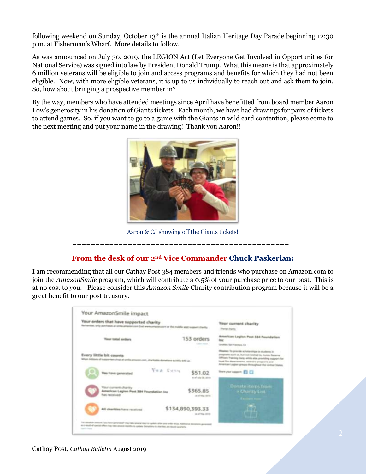following weekend on Sunday, October 13<sup>th</sup> is the annual Italian Heritage Day Parade beginning 12:30 p.m. at Fisherman's Wharf. More details to follow.

As was announced on July 30, 2019, the LEGION Act (Let Everyone Get Involved in Opportunities for National Service) was signed into law by President Donald Trump. What this means is that approximately 6 million veterans will be eligible to join and access programs and benefits for which they had not been eligible. Now, with more eligible veterans, it is up to us individually to reach out and ask them to join. So, how about bringing a prospective member in?

By the way, members who have attended meetings since April have benefitted from board member Aaron Low's generosity in his donation of Giants tickets. Each month, we have had drawings for pairs of tickets to attend games. So, if you want to go to a game with the Giants in wild card contention, please come to the next meeting and put your name in the drawing! Thank you Aaron!!



Aaron & CJ showing off the Giants tickets!

# ===============================================

### **From the desk of our 2nd Vice Commander Chuck Paskerian:**

I am recommending that all our Cathay Post 384 members and friends who purchase on Amazon.com to join the *AmazonSmile* program, which will contribute a 0.5% of your purchase price to our post. This is at no cost to you. Please consider this *Amazon Smile* Charity contribution program because it will be a great benefit to our post treasury.

| Your orders that have supported charity<br>Remember, and p pomitionist at conditionment moved away are program as in the modella send incorporation or |                                            | Your current charity<br><b>Themes disented</b>                                                                                                                                                                                                                                  |
|--------------------------------------------------------------------------------------------------------------------------------------------------------|--------------------------------------------|---------------------------------------------------------------------------------------------------------------------------------------------------------------------------------------------------------------------------------------------------------------------------------|
| <b>Tour total arders</b>                                                                                                                               | 153 orders                                 | American Legion Post 384 Foundation<br>Linches Tel: Travition, 14                                                                                                                                                                                                               |
| Every little bit counts<br>When indicate of supporters shop at artifs process cost, charicable derivative is (45 year)                                 |                                            | Mission To provide scholarships in students in<br>programs such as but not longed to. Junior Receive.<br>difficent Training Card, while also providing support for<br>local. This departments, ventions arrogating and<br>Annerster Legion groups throughout the United States. |
| Yes have generated                                                                                                                                     | FEW SUSH<br>\$51.02<br>as of sale OK, 3019 | litera past support: \$12.572                                                                                                                                                                                                                                                   |
| <b>Riser current sharity</b><br>American Legion Post 384 Foundation Inc.<br><b>Francisco controller</b>                                                | \$365.85<br>as all than dates.             | Donate items from<br><b>Chanty List</b>                                                                                                                                                                                                                                         |
| All charities have received                                                                                                                            | \$134,890,393.33<br>as all than 2010s.     |                                                                                                                                                                                                                                                                                 |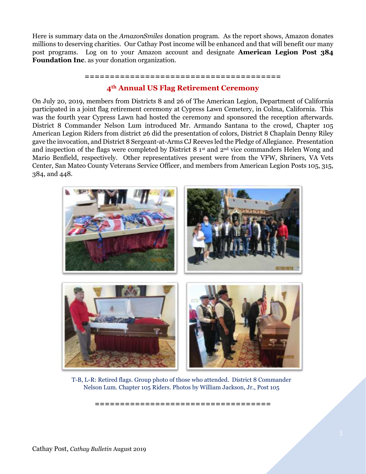Here is summary data on the *AmazonSmiles* donation program. As the report shows, Amazon donates millions to deserving charities. Our Cathay Post income will be enhanced and that will benefit our many post programs. Log on to your Amazon account and designate **American Legion Post 384 Foundation Inc**. as your donation organization.

# **======================================= 4th Annual US Flag Retirement Ceremony**

On July 20, 2019, members from Districts 8 and 26 of The American Legion, Department of California participated in a joint flag retirement ceremony at Cypress Lawn Cemetery, in Colma, California. This was the fourth year Cypress Lawn had hosted the ceremony and sponsored the reception afterwards. District 8 Commander Nelson Lum introduced Mr. Armando Santana to the crowd, Chapter 105 American Legion Riders from district 26 did the presentation of colors, District 8 Chaplain Denny Riley gave the invocation, and District 8 Sergeant-at-Arms CJ Reeves led the Pledge of Allegiance. Presentation and inspection of the flags were completed by District 8 1st and 2nd vice commanders Helen Wong and Mario Benfield, respectively. Other representatives present were from the VFW, Shriners, VA Vets Center, San Mateo County Veterans Service Officer, and members from American Legion Posts 105, 315, 384, and 448.



T-B, L-R: Retired flags. Group photo of those who attended. District 8 Commander Nelson Lum. Chapter 105 Riders. Photos by William Jackson, Jr., Post 105

**===================================**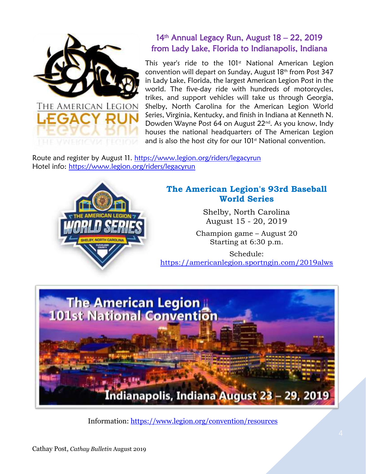

# 14<sup>th</sup> Annual Legacy Run, August 18 - 22, 2019 from Lady Lake, Florida to Indianapolis, Indiana

This year's ride to the  $101<sup>st</sup>$  National American Legion convention will depart on Sunday, August 18<sup>th</sup> from Post 347 in Lady Lake, Florida, the largest American Legion Post in the world. The five-day ride with hundreds of motorcycles, trikes, and support vehicles will take us through Georgia, Shelby, North Carolina for the American Legion World Series, Virginia, Kentucky, and finish in Indiana at Kenneth N. Dowden Wayne Post 64 on August 22nd . As you know, Indy houses the national headquarters of The American Legion and is also the host city for our 101<sup>st</sup> National convention.

Route and register by August 11.<https://www.legion.org/riders/legacyrun> Hotel info:<https://www.legion.org/riders/legacyrun>



# **The American Legion's 93rd Baseball World Series**

Shelby, North Carolina August 15 - 20, 2019

Champion game – August 20 Starting at 6:30 p.m.

Schedule: <https://americanlegion.sportngin.com/2019alws>



Information:<https://www.legion.org/convention/resources>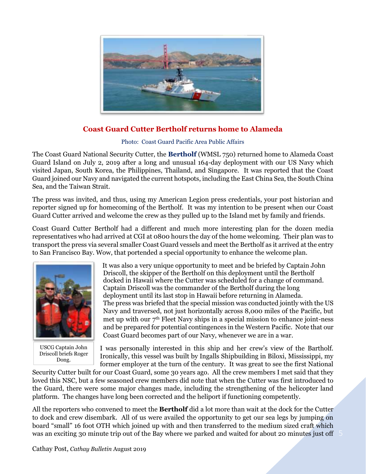

# **Coast Guard Cutter Bertholf returns home to Alameda**

Photo: Coast Guard Pacific Area Public Affairs

The Coast Guard National Security Cutter, the **Bertholf** (WMSL 750) returned home to Alameda Coast Guard Island on July 2, 2019 after a long and unusual 164-day deployment with our US Navy which visited Japan, South Korea, the Philippines, Thailand, and Singapore. It was reported that the Coast Guard joined our Navy and navigated the current hotspots, including the East China Sea, the South China Sea, and the Taiwan Strait.

The press was invited, and thus, using my American Legion press credentials, your post historian and reporter signed up for homecoming of the Bertholf. It was my intention to be present when our Coast Guard Cutter arrived and welcome the crew as they pulled up to the Island met by family and friends.

Coast Guard Cutter Bertholf had a different and much more interesting plan for the dozen media representatives who had arrived at CGI at 0800 hours the day of the home welcoming. Their plan was to transport the press via several smaller Coast Guard vessels and meet the Bertholf as it arrived at the entry to San Francisco Bay. Wow, that portended a special opportunity to enhance the welcome plan.



USCG Captain John Driscoll briefs Roger Dong.

It was also a very unique opportunity to meet and be briefed by Captain John Driscoll, the skipper of the Bertholf on this deployment until the Bertholf docked in Hawaii where the Cutter was scheduled for a change of command. Captain Driscoll was the commander of the Bertholf during the long deployment until its last stop in Hawaii before returning in Alameda. The press was briefed that the special mission was conducted jointly with the US Navy and traversed, not just horizontally across 8,000 miles of the Pacific, but met up with our  $7<sup>th</sup>$  Fleet Navy ships in a special mission to enhance joint-ness and be prepared for potential contingences in the Western Pacific. Note that our Coast Guard becomes part of our Navy, whenever we are in a war.

I was personally interested in this ship and her crew's view of the Bartholf. Ironically, this vessel was built by Ingalls Shipbuilding in Biloxi, Mississippi, my former employer at the turn of the century. It was great to see the first National

Security Cutter built for our Coast Guard, some 30 years ago. All the crew members I met said that they loved this NSC, but a few seasoned crew members did note that when the Cutter was first introduced to the Guard, there were some major changes made, including the strengthening of the helicopter land platform. The changes have long been corrected and the heliport if functioning competently.

All the reporters who convened to meet the **Bertholf** did a lot more than wait at the dock for the Cutter to dock and crew disembark. All of us were availed the opportunity to get our sea legs by jumping on board "small" 16 foot OTH which joined up with and then transferred to the medium sized craft which was an exciting 30 minute trip out of the Bay where we parked and waited for about 20 minutes just off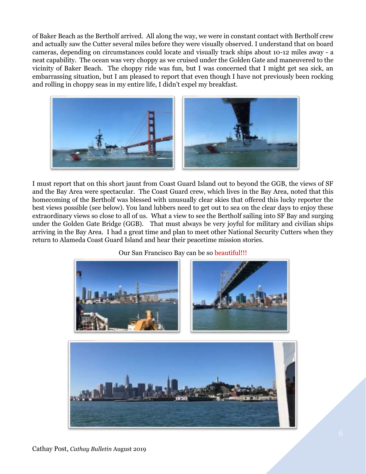of Baker Beach as the Bertholf arrived. All along the way, we were in constant contact with Bertholf crew and actually saw the Cutter several miles before they were visually observed. I understand that on board cameras, depending on circumstances could locate and visually track ships about 10-12 miles away - a neat capability. The ocean was very choppy as we cruised under the Golden Gate and maneuvered to the vicinity of Baker Beach. The choppy ride was fun, but I was concerned that I might get sea sick, an embarrassing situation, but I am pleased to report that even though I have not previously been rocking and rolling in choppy seas in my entire life, I didn't expel my breakfast.



I must report that on this short jaunt from Coast Guard Island out to beyond the GGB, the views of SF and the Bay Area were spectacular. The Coast Guard crew, which lives in the Bay Area, noted that this homecoming of the Bertholf was blessed with unusually clear skies that offered this lucky reporter the best views possible (see below). You land lubbers need to get out to sea on the clear days to enjoy these extraordinary views so close to all of us. What a view to see the Bertholf sailing into SF Bay and surging under the Golden Gate Bridge (GGB). That must always be very joyful for military and civilian ships arriving in the Bay Area. I had a great time and plan to meet other National Security Cutters when they return to Alameda Coast Guard Island and hear their peacetime mission stories.

Our San Francisco Bay can be so beautiful!!!





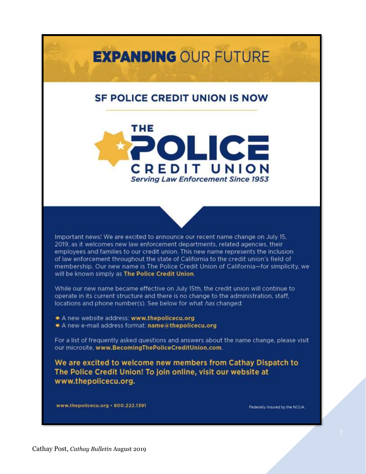# **EXPANDING OUR FUTURE**

# **SF POLICE CREDIT UNION IS NOW**



Important news! We are excited to announce our recent name change on July 15, 2019, as it welcomes new law enforcement departments, related agencies, their employees and families to our credit union. This new name represents the inclusion of law enforcement throughout the state of California to the credit union's field of membership. Our new name is The Police Credit Union of California-for simplicity, we will be known simply as The Police Credit Union.

While our new name became effective on July 15th, the credit union will continue to operate in its current structure and there is no change to the administration, staff, locations and phone number(s). See below for what has changed:

- A new website address: www.thepolicecu.org
- A new e-mail address format: name a thepolicecu.org

For a list of frequently asked questions and answers about the name change, please visit our microsite, www.BecomingThePoliceCreditUnion.com.

We are excited to welcome new members from Cathay Dispatch to The Police Credit Union! To join online, visit our website at www.thepolicecu.org.

www.thepolicecu.org · 800.222.1391

Federally Insured by the NCUA.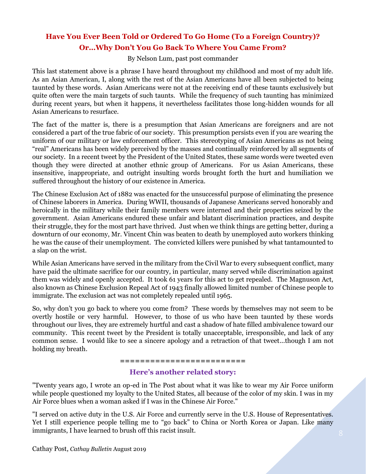# **Have You Ever Been Told or Ordered To Go Home (To a Foreign Country)? Or…Why Don't You Go Back To Where You Came From?**

By Nelson Lum, past post commander

This last statement above is a phrase I have heard throughout my childhood and most of my adult life. As an Asian American, I, along with the rest of the Asian Americans have all been subjected to being taunted by these words. Asian Americans were not at the receiving end of these taunts exclusively but quite often were the main targets of such taunts. While the frequency of such taunting has minimized during recent years, but when it happens, it nevertheless facilitates those long-hidden wounds for all Asian Americans to resurface.

The fact of the matter is, there is a presumption that Asian Americans are foreigners and are not considered a part of the true fabric of our society. This presumption persists even if you are wearing the uniform of our military or law enforcement officer. This stereotyping of Asian Americans as not being "real" Americans has been widely perceived by the masses and continually reinforced by all segments of our society. In a recent tweet by the President of the United States, these same words were tweeted even though they were directed at another ethnic group of Americans. For us Asian Americans, these insensitive, inappropriate, and outright insulting words brought forth the hurt and humiliation we suffered throughout the history of our existence in America.

The Chinese Exclusion Act of 1882 was enacted for the unsuccessful purpose of eliminating the presence of Chinese laborers in America. During WWII, thousands of Japanese Americans served honorably and heroically in the military while their family members were interned and their properties seized by the government. Asian Americans endured these unfair and blatant discrimination practices, and despite their struggle, they for the most part have thrived. Just when we think things are getting better, during a downturn of our economy, Mr. Vincent Chin was beaten to death by unemployed auto workers thinking he was the cause of their unemployment. The convicted killers were punished by what tantamounted to a slap on the wrist.

While Asian Americans have served in the military from the Civil War to every subsequent conflict, many have paid the ultimate sacrifice for our country, in particular, many served while discrimination against them was widely and openly accepted. It took 61 years for this act to get repealed. The Magnuson Act, also known as Chinese Exclusion Repeal Act of 1943 finally allowed limited number of Chinese people to immigrate. The exclusion act was not completely repealed until 1965.

So, why don't you go back to where you come from? These words by themselves may not seem to be overtly hostile or very harmful. However, to those of us who have been taunted by these words throughout our lives, they are extremely hurtful and cast a shadow of hate filled ambivalence toward our community. This recent tweet by the President is totally unacceptable, irresponsible, and lack of any common sense. I would like to see a sincere apology and a retraction of that tweet...though I am not holding my breath.

#### **=========================**

### **Here's another related story:**

"Twenty years ago, I wrote an op-ed in The Post about what it was like to wear my Air Force uniform while people questioned my loyalty to the United States, all because of the color of my skin. I was in my Air Force blues when a woman asked if I was in the Chinese Air Force."

"I served on active duty in the U.S. Air Force and currently serve in the U.S. House of Representatives. Yet I still experience people telling me to "go back" to China or North Korea or Japan. Like many immigrants, I have learned to brush off this racist insult.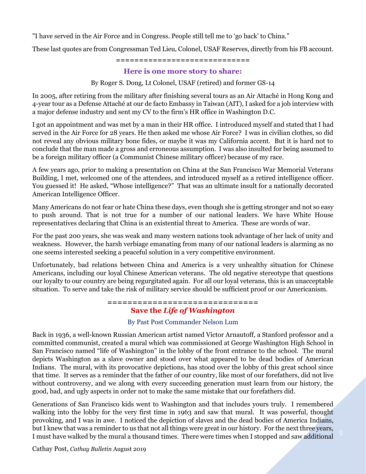"I have served in the Air Force and in Congress. People still tell me to 'go back' to China."

These last quotes are from Congressman Ted Lieu, Colonel, USAF Reserves, directly from his FB account.

#### **=============================**

### **Here is one more story to share:**

By Roger S. Dong, Lt Colonel, USAF (retired) and former GS-14

In 2005, after retiring from the military after finishing several tours as an Air Attaché in Hong Kong and 4-year tour as a Defense Attaché at our de facto Embassy in Taiwan (AIT), I asked for a job interview with a major defense industry and sent my CV to the firm's HR office in Washington D.C.

I got an appointment and was met by a man in their HR office. I introduced myself and stated that I had served in the Air Force for 28 years. He then asked me whose Air Force? I was in civilian clothes, so did not reveal any obvious military bone fides, or maybe it was my California accent. But it is hard not to conclude that the man made a gross and erroneous assumption. I was also insulted for being assumed to be a foreign military officer (a Communist Chinese military officer) because of my race.

A few years ago, prior to making a presentation on China at the San Francisco War Memorial Veterans Building, I met, welcomed one of the attendees, and introduced myself as a retired intelligence officer. You guessed it! He asked, "Whose intelligence?" That was an ultimate insult for a nationally decorated American Intelligence Officer.

Many Americans do not fear or hate China these days, even though she is getting stronger and not so easy to push around. That is not true for a number of our national leaders. We have White House representatives declaring that China is an existential threat to America. These are words of war.

For the past 200 years, she was weak and many western nations took advantage of her lack of unity and weakness. However, the harsh verbiage emanating from many of our national leaders is alarming as no one seems interested seeking a peaceful solution in a very competitive environment.

Unfortunately, bad relations between China and America is a very unhealthy situation for Chinese Americans, including our loyal Chinese American veterans. The old negative stereotype that questions our loyalty to our country are being regurgitated again. For all our loyal veterans, this is an unacceptable situation. To serve and take the risk of military service should be sufficient proof or our Americanism.

# **==============================**

# **Save the** *Life of Washington*

#### By Past Post Commander Nelson Lum

Back in 1936, a well-known Russian American artist named Victor Arnautoff, a Stanford professor and a committed communist, created a mural which was commissioned at George Washington High School in San Francisco named "life of Washington" in the lobby of the front entrance to the school. The mural depicts Washington as a slave owner and stood over what appeared to be dead bodies of American Indians. The mural, with its provocative depictions, has stood over the lobby of this great school since that time. It serves as a reminder that the father of our country, like most of our forefathers, did not live without controversy, and we along with every succeeding generation must learn from our history, the good, bad, and ugly aspects in order not to make the same mistake that our forefathers did.

Generations of San Francisco kids went to Washington and that includes yours truly. I remembered walking into the lobby for the very first time in 1963 and saw that mural. It was powerful, thought provoking, and I was in awe. I noticed the depiction of slaves and the dead bodies of America Indians, but I knew that was a reminder to us that not all things were great in our history. For the next three years, I must have walked by the mural a thousand times. There were times when I stopped and saw additional

Cathay Post, *Cathay Bulletin* August 2019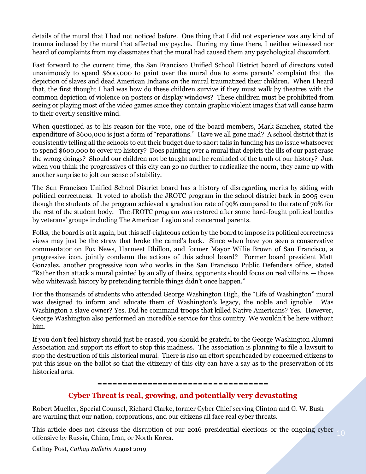details of the mural that I had not noticed before. One thing that I did not experience was any kind of trauma induced by the mural that affected my psyche. During my time there, I neither witnessed nor heard of complaints from my classmates that the mural had caused them any psychological discomfort.

Fast forward to the current time, the San Francisco Unified School District board of directors voted unanimously to spend \$600,000 to paint over the mural due to some parents' complaint that the depiction of slaves and dead American Indians on the mural traumatized their children. When I heard that, the first thought I had was how do these children survive if they must walk by theatres with the common depiction of violence on posters or display windows? These children must be prohibited from seeing or playing most of the video games since they contain graphic violent images that will cause harm to their overtly sensitive mind.

When questioned as to his reason for the vote, one of the board members, Mark Sanchez, stated the expenditure of \$600,000 is just a form of "reparations." Have we all gone mad? A school district that is consistently telling all the schools to cut their budget due to short falls in funding has no issue whatsoever to spend \$600,000 to cover up history? Does painting over a mural that depicts the ills of our past erase the wrong doings? Should our children not be taught and be reminded of the truth of our history? Just when you think the progressives of this city can go no further to radicalize the norm, they came up with another surprise to jolt our sense of stability.

The San Francisco Unified School District board has a history of disregarding merits by siding with political correctness. It voted to abolish the JROTC program in the school district back in 2005 even though the students of the program achieved a graduation rate of 99% compared to the rate of 70% for the rest of the student body. The JROTC program was restored after some hard-fought political battles by veterans' groups including The American Legion and concerned parents.

Folks, the board is at it again, but this self-righteous action by the board to impose its political correctness views may just be the straw that broke the camel's back. Since when have you seen a conservative commentator on Fox News, Harmeet Dhillon, and former Mayor Willie Brown of San Francisco, a progressive icon, jointly condemn the actions of this school board? Former board president Matt Gonzalez, another progressive icon who works in the San Francisco Public Defenders office, stated "Rather than attack a mural painted by an ally of theirs, opponents should focus on real villains — those who whitewash history by pretending terrible things didn't once happen."

For the thousands of students who attended George Washington High, the "Life of Washington" mural was designed to inform and educate them of Washington's legacy, the noble and ignoble. Was Washington a slave owner? Yes. Did he command troops that killed Native Americans? Yes. However, George Washington also performed an incredible service for this country. We wouldn't be here without him.

If you don't feel history should just be erased, you should be grateful to the George Washington Alumni Association and support its effort to stop this madness. The association is planning to file a lawsuit to stop the destruction of this historical mural. There is also an effort spearheaded by concerned citizens to put this issue on the ballot so that the citizenry of this city can have a say as to the preservation of its historical arts.

#### **==================================**

### **Cyber Threat is real, growing, and potentially very devastating**

Robert Mueller, Special Counsel, Richard Clarke, former Cyber Chief serving Clinton and G. W. Bush are warning that our nation, corporations, and our citizens all face real cyber threats.

This article does not discuss the disruption of our 2016 presidential elections or the ongoing cyber offensive by Russia, China, Iran, or North Korea.

Cathay Post, *Cathay Bulletin* August 2019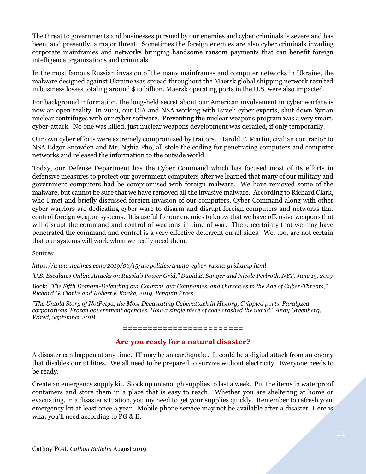The threat to governments and businesses pursued by our enemies and cyber criminals is severe and has been, and presently, a major threat. Sometimes the foreign enemies are also cyber criminals invading corporate mainframes and networks bringing handsome ransom payments that can benefit foreign intelligence organizations and criminals.

In the most famous Russian invasion of the many mainframes and computer networks in Ukraine, the malware designed against Ukraine was spread throughout the Maersk global shipping network resulted in business losses totaling around \$10 billion. Maersk operating ports in the U.S. were also impacted.

For background information, the long-held secret about our American involvement in cyber warfare is now an open reality. In 2010, our CIA and NSA working with Israeli cyber experts, shut down Syrian nuclear centrifuges with our cyber software. Preventing the nuclear weapons program was a very smart, cyber-attack. No one was killed, just nuclear weapons development was derailed, if only temporarily.

Our own cyber efforts were extremely compromised by traitors. Harold T. Martin, civilian contractor to NSA Edgor Snowden and Mr. Nghia Pho, all stole the coding for penetrating computers and computer networks and released the information to the outside world.

Today, our Defense Department has the Cyber Command which has focused most of its efforts in defensive measures to protect our government computers after we learned that many of our military and government computers had be compromised with foreign malware. We have removed some of the malware, but cannot be sure that we have removed all the invasive malware. According to Richard Clark, who I met and briefly discussed foreign invasion of our computers, Cyber Command along with other cyber warriors are dedicating cyber ware to disarm and disrupt foreign computers and networks that control foreign weapon systems. It is useful for our enemies to know that we have offensive weapons that will disrupt the command and control of weapons in time of war. The uncertainty that we may have penetrated the command and control is a very effective deterrent on all sides. We, too, are not certain that our systems will work when we really need them.

Sources:

*https://www.nytimes.com/2019/06/15/us/politics/trump-cyber-russia-grid.amp.html*

*'U.S. Escalates Online Attacks on Russia's Power Grid," David E. Sanger and Nicole Perlroth, NYT, June 15, 2019*

Book: *"The Fifth Domain-Defending our Country, our Companies, and Ourselves in the Age of Cyber-Threats," Richard G. Clarke and Robert K Knake, 2019, Penguin Press*

*"The Untold Story of NotPetya, the Most Devastating Cyberattack in History, Crippled ports. Paralyzed corporations. Frozen government agencies. How a single piece of code crashed the world." Andy Greenberg, Wired, September 2018.* 

#### **========================**

### **Are you ready for a natural disaster?**

A disaster can happen at any time. IT may be an earthquake. It could be a digital attack from an enemy that disables our utilities. We all need to be prepared to survive without electricity. Everyone needs to be ready.

Create an emergency supply kit. Stock up on enough supplies to last a week. Put the items in waterproof containers and store them in a place that is easy to reach. Whether you are sheltering at home or evacuating, in a disaster situation, you my need to get your supplies quickly. Remember to refresh your emergency kit at least once a year. Mobile phone service may not be available after a disaster. Here is what you'll need according to PG & E.